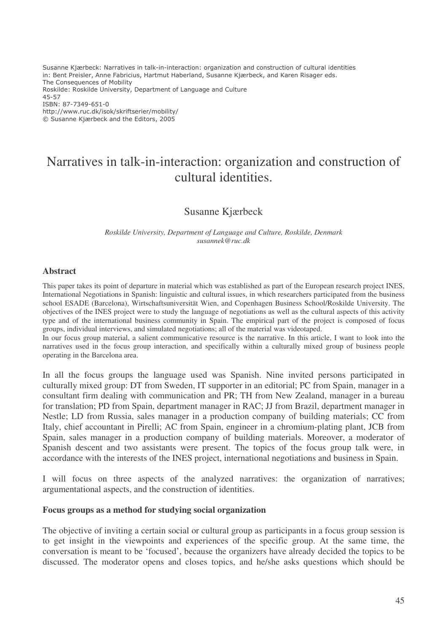Susanne Kjærbeck: Narratives in talk-in-interaction: organization and construction of cultural identities in: Bent Preisler, Anne Fabricius, Hartmut Haberland, Susanne Kjærbeck, and Karen Risager eds. The Consequences of Mobility Roskilde: Roskilde University, Department of Language and Culture 45-57 ISBN: 87-7349-651-0 http://www.ruc.dk/isok/skriftserier/mobility/ © Susanne Kjærbeck and the Editors, 2005

# Narratives in talk-in-interaction: organization and construction of cultural identities.

## Susanne Kjærbeck

*Roskilde University, Department of Language and Culture, Roskilde, Denmark susannek@ruc.dk*

#### **Abstract**

This paper takes its point of departure in material which was established as part of the European research project INES, International Negotiations in Spanish: linguistic and cultural issues, in which researchers participated from the business school ESADE (Barcelona), Wirtschaftsuniversität Wien, and Copenhagen Business School/Roskilde University. The objectives of the INES project were to study the language of negotiations as well as the cultural aspects of this activity type and of the international business community in Spain. The empirical part of the project is composed of focus groups, individual interviews, and simulated negotiations; all of the material was videotaped.

In our focus group material, a salient communicative resource is the narrative. In this article, I want to look into the narratives used in the focus group interaction, and specifically within a culturally mixed group of business people operating in the Barcelona area.

In all the focus groups the language used was Spanish. Nine invited persons participated in culturally mixed group: DT from Sweden, IT supporter in an editorial; PC from Spain, manager in a consultant firm dealing with communication and PR; TH from New Zealand, manager in a bureau for translation; PD from Spain, department manager in RAC; JJ from Brazil, department manager in Nestle; LD from Russia, sales manager in a production company of building materials; CC from Italy, chief accountant in Pirelli; AC from Spain, engineer in a chromium-plating plant, JCB from Spain, sales manager in a production company of building materials. Moreover, a moderator of Spanish descent and two assistants were present. The topics of the focus group talk were, in accordance with the interests of the INES project, international negotiations and business in Spain.

I will focus on three aspects of the analyzed narratives: the organization of narratives; argumentational aspects, and the construction of identities.

#### **Focus groups as a method for studying social organization**

The objective of inviting a certain social or cultural group as participants in a focus group session is to get insight in the viewpoints and experiences of the specific group. At the same time, the conversation is meant to be 'focused', because the organizers have already decided the topics to be discussed. The moderator opens and closes topics, and he/she asks questions which should be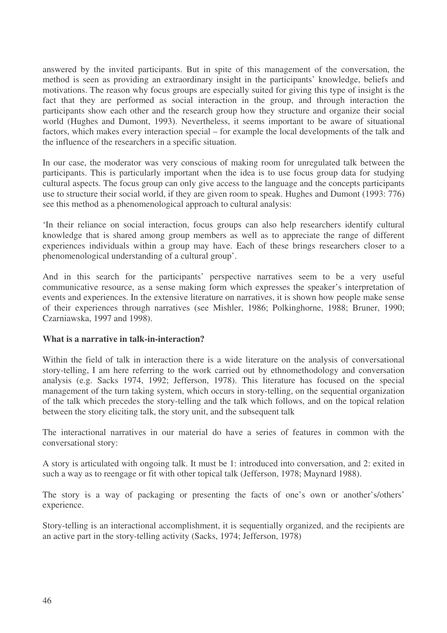answered by the invited participants. But in spite of this management of the conversation, the method is seen as providing an extraordinary insight in the participants' knowledge, beliefs and motivations. The reason why focus groups are especially suited for giving this type of insight is the fact that they are performed as social interaction in the group, and through interaction the participants show each other and the research group how they structure and organize their social world (Hughes and Dumont, 1993). Nevertheless, it seems important to be aware of situational factors, which makes every interaction special – for example the local developments of the talk and the influence of the researchers in a specific situation.

In our case, the moderator was very conscious of making room for unregulated talk between the participants. This is particularly important when the idea is to use focus group data for studying cultural aspects. The focus group can only give access to the language and the concepts participants use to structure their social world, if they are given room to speak. Hughes and Dumont (1993: 776) see this method as a phenomenological approach to cultural analysis:

'In their reliance on social interaction, focus groups can also help researchers identify cultural knowledge that is shared among group members as well as to appreciate the range of different experiences individuals within a group may have. Each of these brings researchers closer to a phenomenological understanding of a cultural group'.

And in this search for the participants' perspective narratives seem to be a very useful communicative resource, as a sense making form which expresses the speaker's interpretation of events and experiences. In the extensive literature on narratives, it is shown how people make sense of their experiences through narratives (see Mishler, 1986; Polkinghorne, 1988; Bruner, 1990; Czarniawska, 1997 and 1998).

## **What is a narrative in talk-in-interaction?**

Within the field of talk in interaction there is a wide literature on the analysis of conversational story-telling, I am here referring to the work carried out by ethnomethodology and conversation analysis (e.g. Sacks 1974, 1992; Jefferson, 1978). This literature has focused on the special management of the turn taking system, which occurs in story-telling, on the sequential organization of the talk which precedes the story-telling and the talk which follows, and on the topical relation between the story eliciting talk, the story unit, and the subsequent talk

The interactional narratives in our material do have a series of features in common with the conversational story:

A story is articulated with ongoing talk. It must be 1: introduced into conversation, and 2: exited in such a way as to reengage or fit with other topical talk (Jefferson, 1978; Maynard 1988).

The story is a way of packaging or presenting the facts of one's own or another's/others' experience.

Story-telling is an interactional accomplishment, it is sequentially organized, and the recipients are an active part in the story-telling activity (Sacks, 1974; Jefferson, 1978)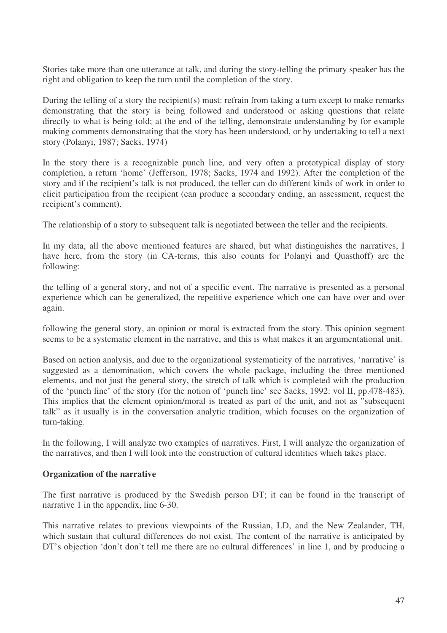Stories take more than one utterance at talk, and during the story-telling the primary speaker has the right and obligation to keep the turn until the completion of the story.

During the telling of a story the recipient(s) must: refrain from taking a turn except to make remarks demonstrating that the story is being followed and understood or asking questions that relate directly to what is being told; at the end of the telling, demonstrate understanding by for example making comments demonstrating that the story has been understood, or by undertaking to tell a next story (Polanyi, 1987; Sacks, 1974)

In the story there is a recognizable punch line, and very often a prototypical display of story completion, a return 'home' (Jefferson, 1978; Sacks, 1974 and 1992). After the completion of the story and if the recipient's talk is not produced, the teller can do different kinds of work in order to elicit participation from the recipient (can produce a secondary ending, an assessment, request the recipient's comment).

The relationship of a story to subsequent talk is negotiated between the teller and the recipients.

In my data, all the above mentioned features are shared, but what distinguishes the narratives, I have here, from the story (in CA-terms, this also counts for Polanyi and Quasthoff) are the following:

the telling of a general story, and not of a specific event. The narrative is presented as a personal experience which can be generalized, the repetitive experience which one can have over and over again.

following the general story, an opinion or moral is extracted from the story. This opinion segment seems to be a systematic element in the narrative, and this is what makes it an argumentational unit.

Based on action analysis, and due to the organizational systematicity of the narratives, 'narrative' is suggested as a denomination, which covers the whole package, including the three mentioned elements, and not just the general story, the stretch of talk which is completed with the production of the 'punch line' of the story (for the notion of 'punch line' see Sacks, 1992: vol II, pp.478-483). This implies that the element opinion/moral is treated as part of the unit, and not as "subsequent talk" as it usually is in the conversation analytic tradition, which focuses on the organization of turn-taking.

In the following, I will analyze two examples of narratives. First, I will analyze the organization of the narratives, and then I will look into the construction of cultural identities which takes place.

#### **Organization of the narrative**

The first narrative is produced by the Swedish person DT; it can be found in the transcript of narrative 1 in the appendix, line 6-30.

This narrative relates to previous viewpoints of the Russian, LD, and the New Zealander, TH, which sustain that cultural differences do not exist. The content of the narrative is anticipated by DT's objection 'don't don't tell me there are no cultural differences' in line 1, and by producing a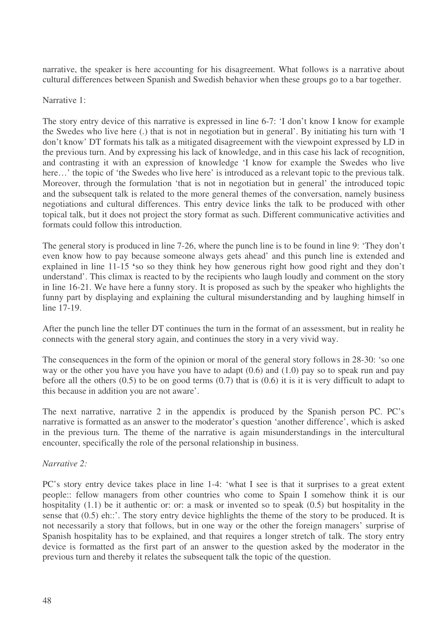narrative, the speaker is here accounting for his disagreement. What follows is a narrative about cultural differences between Spanish and Swedish behavior when these groups go to a bar together.

#### Narrative 1:

The story entry device of this narrative is expressed in line 6-7: 'I don't know I know for example the Swedes who live here (.) that is not in negotiation but in general'. By initiating his turn with 'I don't know' DT formats his talk as a mitigated disagreement with the viewpoint expressed by LD in the previous turn. And by expressing his lack of knowledge, and in this case his lack of recognition, and contrasting it with an expression of knowledge 'I know for example the Swedes who live here...' the topic of 'the Swedes who live here' is introduced as a relevant topic to the previous talk. Moreover, through the formulation 'that is not in negotiation but in general' the introduced topic and the subsequent talk is related to the more general themes of the conversation, namely business negotiations and cultural differences. This entry device links the talk to be produced with other topical talk, but it does not project the story format as such. Different communicative activities and formats could follow this introduction.

The general story is produced in line 7-26, where the punch line is to be found in line 9: 'They don't even know how to pay because someone always gets ahead' and this punch line is extended and explained in line 11-15 **'**so so they think hey how generous right how good right and they don't understand'. This climax is reacted to by the recipients who laugh loudly and comment on the story in line 16-21. We have here a funny story. It is proposed as such by the speaker who highlights the funny part by displaying and explaining the cultural misunderstanding and by laughing himself in line 17-19.

After the punch line the teller DT continues the turn in the format of an assessment, but in reality he connects with the general story again, and continues the story in a very vivid way.

The consequences in the form of the opinion or moral of the general story follows in 28-30: 'so one way or the other you have you have you have to adapt (0.6) and (1.0) pay so to speak run and pay before all the others  $(0.5)$  to be on good terms  $(0.7)$  that is  $(0.6)$  it is it is very difficult to adapt to this because in addition you are not aware'.

The next narrative, narrative 2 in the appendix is produced by the Spanish person PC. PC's narrative is formatted as an answer to the moderator's question 'another difference', which is asked in the previous turn. The theme of the narrative is again misunderstandings in the intercultural encounter, specifically the role of the personal relationship in business.

## *Narrative 2:*

PC's story entry device takes place in line 1-4: 'what I see is that it surprises to a great extent people:: fellow managers from other countries who come to Spain I somehow think it is our hospitality (1.1) be it authentic or: or: a mask or invented so to speak (0.5) but hospitality in the sense that (0.5) eh::'. The story entry device highlights the theme of the story to be produced. It is not necessarily a story that follows, but in one way or the other the foreign managers' surprise of Spanish hospitality has to be explained, and that requires a longer stretch of talk. The story entry device is formatted as the first part of an answer to the question asked by the moderator in the previous turn and thereby it relates the subsequent talk the topic of the question.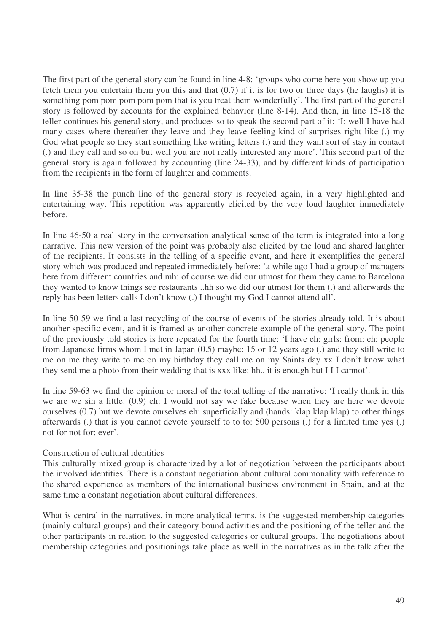The first part of the general story can be found in line 4-8: 'groups who come here you show up you fetch them you entertain them you this and that (0.7) if it is for two or three days (he laughs) it is something pom pom pom pom pom that is you treat them wonderfully'. The first part of the general story is followed by accounts for the explained behavior (line 8-14). And then, in line 15-18 the teller continues his general story, and produces so to speak the second part of it: 'I: well I have had many cases where thereafter they leave and they leave feeling kind of surprises right like (.) my God what people so they start something like writing letters (.) and they want sort of stay in contact (.) and they call and so on but well you are not really interested any more'. This second part of the general story is again followed by accounting (line 24-33), and by different kinds of participation from the recipients in the form of laughter and comments.

In line 35-38 the punch line of the general story is recycled again, in a very highlighted and entertaining way. This repetition was apparently elicited by the very loud laughter immediately before.

In line 46-50 a real story in the conversation analytical sense of the term is integrated into a long narrative. This new version of the point was probably also elicited by the loud and shared laughter of the recipients. It consists in the telling of a specific event, and here it exemplifies the general story which was produced and repeated immediately before: 'a while ago I had a group of managers here from different countries and mh: of course we did our utmost for them they came to Barcelona they wanted to know things see restaurants ..hh so we did our utmost for them (.) and afterwards the reply has been letters calls I don't know (.) I thought my God I cannot attend all'.

In line 50-59 we find a last recycling of the course of events of the stories already told. It is about another specific event, and it is framed as another concrete example of the general story. The point of the previously told stories is here repeated for the fourth time: 'I have eh: girls: from: eh: people from Japanese firms whom I met in Japan (0.5) maybe: 15 or 12 years ago (.) and they still write to me on me they write to me on my birthday they call me on my Saints day xx I don't know what they send me a photo from their wedding that is xxx like: hh.. it is enough but I I I cannot'.

In line 59-63 we find the opinion or moral of the total telling of the narrative: 'I really think in this we are we sin a little: (0.9) eh: I would not say we fake because when they are here we devote ourselves (0.7) but we devote ourselves eh: superficially and (hands: klap klap klap) to other things afterwards (.) that is you cannot devote yourself to to to: 500 persons (.) for a limited time yes (.) not for not for: ever'.

#### Construction of cultural identities

This culturally mixed group is characterized by a lot of negotiation between the participants about the involved identities. There is a constant negotiation about cultural commonality with reference to the shared experience as members of the international business environment in Spain, and at the same time a constant negotiation about cultural differences.

What is central in the narratives, in more analytical terms, is the suggested membership categories (mainly cultural groups) and their category bound activities and the positioning of the teller and the other participants in relation to the suggested categories or cultural groups. The negotiations about membership categories and positionings take place as well in the narratives as in the talk after the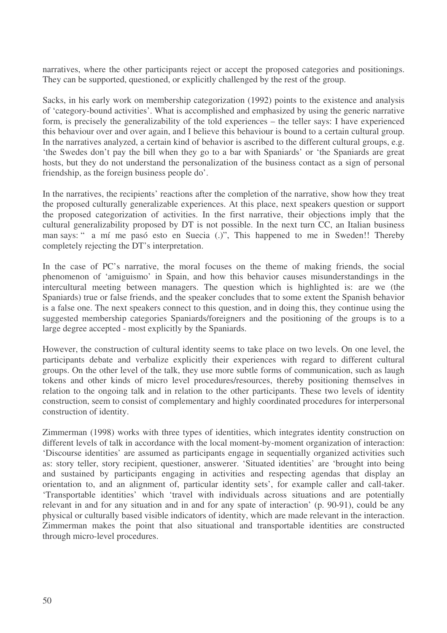narratives, where the other participants reject or accept the proposed categories and positionings. They can be supported, questioned, or explicitly challenged by the rest of the group.

Sacks, in his early work on membership categorization (1992) points to the existence and analysis of 'category-bound activities'. What is accomplished and emphasized by using the generic narrative form, is precisely the generalizability of the told experiences – the teller says: I have experienced this behaviour over and over again, and I believe this behaviour is bound to a certain cultural group. In the narratives analyzed, a certain kind of behavior is ascribed to the different cultural groups, e.g. 'the Swedes don't pay the bill when they go to a bar with Spaniards' or 'the Spaniards are great hosts, but they do not understand the personalization of the business contact as a sign of personal friendship, as the foreign business people do'.

In the narratives, the recipients' reactions after the completion of the narrative, show how they treat the proposed culturally generalizable experiences. At this place, next speakers question or support the proposed categorization of activities. In the first narrative, their objections imply that the cultural generalizability proposed by DT is not possible. In the next turn CC, an Italian business man says: " a mí me pasó esto en Suecia (.)", This happened to me in Sweden!! Thereby completely rejecting the DT's interpretation.

In the case of PC's narrative, the moral focuses on the theme of making friends, the social phenomenon of 'amiguismo' in Spain, and how this behavior causes misunderstandings in the intercultural meeting between managers. The question which is highlighted is: are we (the Spaniards) true or false friends, and the speaker concludes that to some extent the Spanish behavior is a false one. The next speakers connect to this question, and in doing this, they continue using the suggested membership categories Spaniards/foreigners and the positioning of the groups is to a large degree accepted - most explicitly by the Spaniards.

However, the construction of cultural identity seems to take place on two levels. On one level, the participants debate and verbalize explicitly their experiences with regard to different cultural groups. On the other level of the talk, they use more subtle forms of communication, such as laugh tokens and other kinds of micro level procedures/resources, thereby positioning themselves in relation to the ongoing talk and in relation to the other participants. These two levels of identity construction, seem to consist of complementary and highly coordinated procedures for interpersonal construction of identity.

Zimmerman (1998) works with three types of identities, which integrates identity construction on different levels of talk in accordance with the local moment-by-moment organization of interaction: 'Discourse identities' are assumed as participants engage in sequentially organized activities such as: story teller, story recipient, questioner, answerer. 'Situated identities' are 'brought into being and sustained by participants engaging in activities and respecting agendas that display an orientation to, and an alignment of, particular identity sets', for example caller and call-taker. 'Transportable identities' which 'travel with individuals across situations and are potentially relevant in and for any situation and in and for any spate of interaction' (p. 90-91), could be any physical or culturally based visible indicators of identity, which are made relevant in the interaction. Zimmerman makes the point that also situational and transportable identities are constructed through micro-level procedures.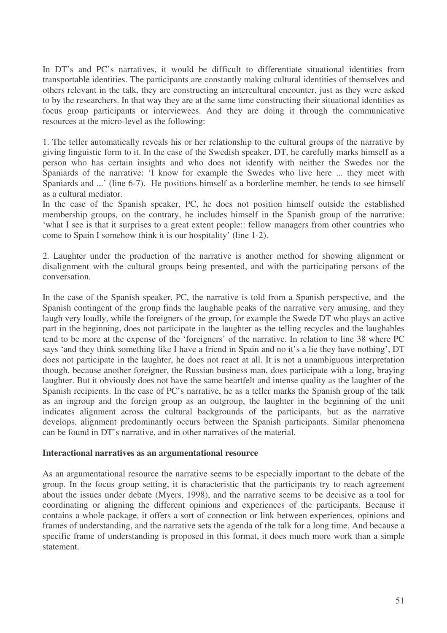In DT's and PC's narratives, it would be difficult to differentiate situational identities from transportable identities. The participants are constantly making cultural identities of themselves and others relevant in the talk, they are constructing an intercultural encounter, just as they were asked to by the researchers. In that way they are at the same time constructing their situational identities as focus group participants or interviewees. And they are doing it through the communicative resources at the micro-level as the following:

1. The teller automatically reveals his or her relationship to the cultural groups of the narrative by giving linguistic form to it. In the case of the Swedish speaker, DT, he carefully marks himself as a person who has certain insights and who does not identify with neither the Swedes nor the Spaniards of the narrative: 'I know for example the Swedes who live here ... they meet with Spaniards and ...' (line 6-7). He positions himself as a borderline member, he tends to see himself as a cultural mediator.

In the case of the Spanish speaker, PC, he does not position himself outside the established membership groups, on the contrary, he includes himself in the Spanish group of the narrative: 'what I see is that it surprises to a great extent people:: fellow managers from other countries who come to Spain I somehow think it is our hospitality' (line 1-2).

2. Laughter under the production of the narrative is another method for showing alignment or disalignment with the cultural groups being presented, and with the participating persons of the conversation.

In the case of the Spanish speaker, PC, the narrative is told from a Spanish perspective, and the Spanish contingent of the group finds the laughable peaks of the narrative very amusing, and they laugh very loudly, while the foreigners of the group, for example the Swede DT who plays an active part in the beginning, does not participate in the laughter as the telling recycles and the laughables tend to be more at the expense of the 'foreigners' of the narrative. In relation to line 38 where PC says 'and they think something like I have a friend in Spain and no it's a lie they have nothing', DT does not participate in the laughter, he does not react at all. It is not a unambiguous interpretation though, because another foreigner, the Russian business man, does participate with a long, braying laughter. But it obviously does not have the same heartfelt and intense quality as the laughter of the Spanish recipients. In the case of PC's narrative, he as a teller marks the Spanish group of the talk as an ingroup and the foreign group as an outgroup, the laughter in the beginning of the unit indicates alignment across the cultural backgrounds of the participants, but as the narrative develops, alignment predominantly occurs between the Spanish participants. Similar phenomena can be found in DT's narrative, and in other narratives of the material.

#### **Interactional narratives as an argumentational resource**

As an argumentational resource the narrative seems to be especially important to the debate of the group. In the focus group setting, it is characteristic that the participants try to reach agreement about the issues under debate (Myers, 1998), and the narrative seems to be decisive as a tool for coordinating or aligning the different opinions and experiences of the participants. Because it contains a whole package, it offers a sort of connection or link between experiences, opinions and frames of understanding, and the narrative sets the agenda of the talk for a long time. And because a specific frame of understanding is proposed in this format, it does much more work than a simple statement.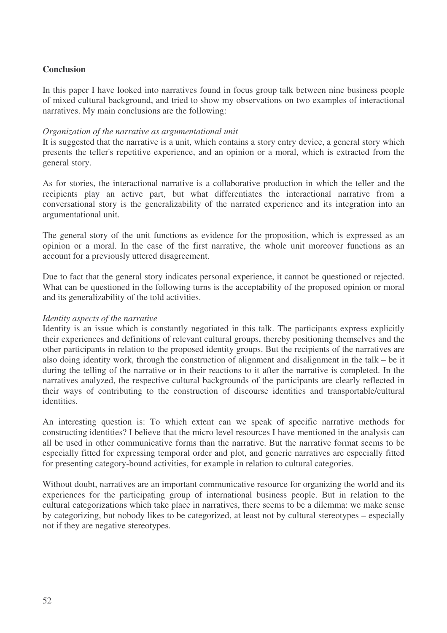#### **Conclusion**

In this paper I have looked into narratives found in focus group talk between nine business people of mixed cultural background, and tried to show my observations on two examples of interactional narratives. My main conclusions are the following:

#### *Organization of the narrative as argumentational unit*

It is suggested that the narrative is a unit, which contains a story entry device, a general story which presents the teller's repetitive experience, and an opinion or a moral, which is extracted from the general story.

As for stories, the interactional narrative is a collaborative production in which the teller and the recipients play an active part, but what differentiates the interactional narrative from a conversational story is the generalizability of the narrated experience and its integration into an argumentational unit.

The general story of the unit functions as evidence for the proposition, which is expressed as an opinion or a moral. In the case of the first narrative, the whole unit moreover functions as an account for a previously uttered disagreement.

Due to fact that the general story indicates personal experience, it cannot be questioned or rejected. What can be questioned in the following turns is the acceptability of the proposed opinion or moral and its generalizability of the told activities.

#### *Identity aspects of the narrative*

Identity is an issue which is constantly negotiated in this talk. The participants express explicitly their experiences and definitions of relevant cultural groups, thereby positioning themselves and the other participants in relation to the proposed identity groups. But the recipients of the narratives are also doing identity work, through the construction of alignment and disalignment in the talk – be it during the telling of the narrative or in their reactions to it after the narrative is completed. In the narratives analyzed, the respective cultural backgrounds of the participants are clearly reflected in their ways of contributing to the construction of discourse identities and transportable/cultural identities.

An interesting question is: To which extent can we speak of specific narrative methods for constructing identities? I believe that the micro level resources I have mentioned in the analysis can all be used in other communicative forms than the narrative. But the narrative format seems to be especially fitted for expressing temporal order and plot, and generic narratives are especially fitted for presenting category-bound activities, for example in relation to cultural categories.

Without doubt, narratives are an important communicative resource for organizing the world and its experiences for the participating group of international business people. But in relation to the cultural categorizations which take place in narratives, there seems to be a dilemma: we make sense by categorizing, but nobody likes to be categorized, at least not by cultural stereotypes – especially not if they are negative stereotypes.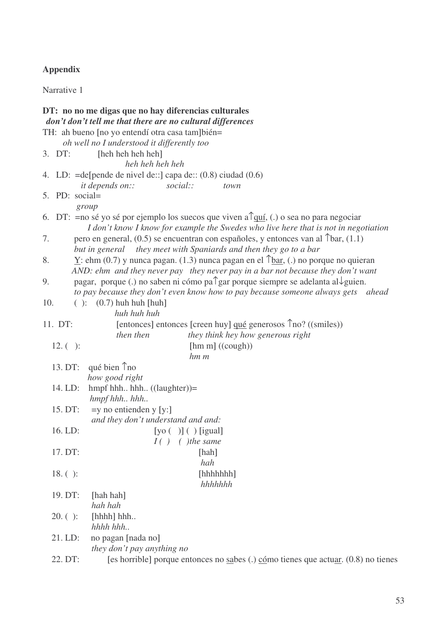## **Appendix**

Narrative 1

|     |             | DT: no no me digas que no hay diferencias culturales<br>don't don't tell me that there are no cultural differences |
|-----|-------------|--------------------------------------------------------------------------------------------------------------------|
|     |             | TH: ah bueno [no yo entendí otra casa tam]bién=                                                                    |
|     |             | oh well no I understood it differently too                                                                         |
|     | 3. DT:      | [heh heh heh]                                                                                                      |
|     |             | heh heh heh heh                                                                                                    |
|     |             | 4. LD: $=$ de[pende de nivel de::] capa de:: $(0.8)$ ciudad $(0.6)$                                                |
|     |             | <i>it depends on::</i><br>social::<br>town                                                                         |
|     |             | 5. PD: social=                                                                                                     |
|     |             | group                                                                                                              |
|     |             | 6. DT: = no sé yo sé por ejemplo los suecos que viven a $\int$ quí, (.) o sea no para negociar                     |
|     |             | I don't know I know for example the Swedes who live here that is not in negotiation                                |
| 7.  |             | pero en general, $(0.5)$ se encuentran con españoles, y entonces van al $\text{[bar, (1.1)]}$                      |
|     |             | but in general they meet with Spaniards and then they go to a bar                                                  |
| 8.  |             | $Y$ : ehm (0.7) y nunca pagan. (1.3) nunca pagan en el $\text{ap}$ tar, (.) no porque no quieran                   |
|     |             | AND: ehm and they never pay they never pay in a bar not because they don't want                                    |
| 9.  |             | pagar, porque (.) no saben ni cómo pa $\hat{\ }$ gar porque siempre se adelanta al $\downarrow$ guien.             |
|     |             | to pay because they don't even know how to pay because someone always gets ahead                                   |
| 10. |             | $( ): (0.7)$ huh huh [huh]<br>huh huh huh                                                                          |
|     | 11. DT:     | [entonces] entonces [creen huy] qué generosos $\hat{\Gamma}$ no? ((smiles))                                        |
|     |             | then then<br>they think hey how generous right                                                                     |
|     | $12. ( )$ : | $[hm \, m] ((cough))$                                                                                              |
|     |             | $hm \, m$                                                                                                          |
|     |             | 13. DT: qué bien $\text{r}$ no                                                                                     |
|     |             | how good right                                                                                                     |
|     | 14. LD:     | hmpf hhh hhh $((\text{language})') =$                                                                              |
|     |             | hmpf hhh hhh                                                                                                       |
|     | 15. DT:     | $=y$ no entienden y [y:]                                                                                           |
|     |             | and they don't understand and and:                                                                                 |
|     | 16. LD:     | $[yo( )]( )$ [igual]                                                                                               |
|     |             | $I( )$ ( <i>)</i> the same                                                                                         |
|     | 17. DT:     | [hah]                                                                                                              |
|     |             | hah                                                                                                                |
|     | $18.( )$ :  | [hhhhhh]                                                                                                           |
|     |             | hhhhhh                                                                                                             |
|     | 19. DT:     | [hah hah]                                                                                                          |
|     |             | hah hah                                                                                                            |
|     | $20.( )$ :  | [hhhh] hhh                                                                                                         |
|     |             | hhhh hhh                                                                                                           |
|     | 21. LD:     | no pagan [nada no]                                                                                                 |
|     |             | they don't pay anything no                                                                                         |
|     | 22. DT:     | [es horrible] porque entonces no sabes (.) $c$ ómo tienes que actuar. (0.8) no tienes                              |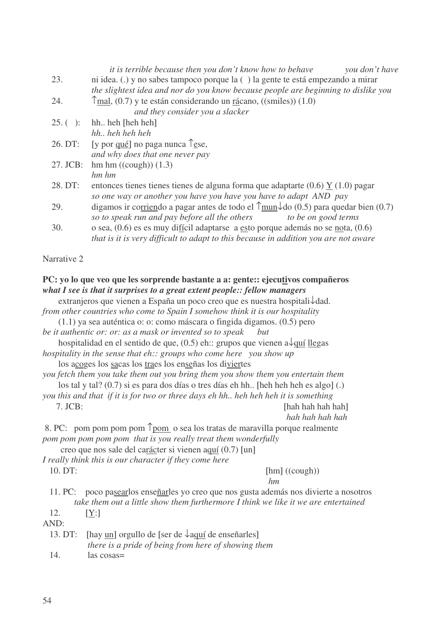|                                                                                     | <i>it is terrible because then you don't know how to behave</i><br>you don't have                             |  |  |  |
|-------------------------------------------------------------------------------------|---------------------------------------------------------------------------------------------------------------|--|--|--|
| 23.                                                                                 | ni idea. (.) y no sabes tampoco porque la () la gente te está empezando a mirar                               |  |  |  |
|                                                                                     | the slightest idea and nor do you know because people are beginning to dislike you                            |  |  |  |
| 24.                                                                                 | $\hat{\Gamma}$ mal, (0.7) y te están considerando un <u>rá</u> cano, ((smiles)) (1.0)                         |  |  |  |
|                                                                                     | and they consider you a slacker                                                                               |  |  |  |
| $25. ( )$ :                                                                         | hh heh [heh heh]                                                                                              |  |  |  |
|                                                                                     | hh heh heh heh                                                                                                |  |  |  |
| 26. DT:                                                                             | [y por <u>qué</u> ] no paga nunca $\int$ <sub>ese</sub> ,                                                     |  |  |  |
|                                                                                     | and why does that one never pay                                                                               |  |  |  |
| 27. JCB:                                                                            | hm hm ((cough)) (1.3)                                                                                         |  |  |  |
|                                                                                     | $hm$ $hm$                                                                                                     |  |  |  |
| 28. DT:                                                                             | entonces tienes tienes de alguna forma que adaptarte $(0.6)$ Y $(1.0)$ pagar                                  |  |  |  |
|                                                                                     | so one way or another you have you have you have to adapt AND pay                                             |  |  |  |
| 29.                                                                                 | digamos ir corriendo a pagar antes de todo el $\hat{\Gamma}$ mun $\downarrow$ do (0.5) para quedar bien (0.7) |  |  |  |
|                                                                                     | so to speak run and pay before all the others<br>to be on good terms                                          |  |  |  |
| 30.                                                                                 | o sea, $(0.6)$ es es muy difícil adaptarse a esto porque además no se nota, $(0.6)$                           |  |  |  |
|                                                                                     | that is it is very difficult to adapt to this because in addition you are not aware                           |  |  |  |
| Narrative 2                                                                         |                                                                                                               |  |  |  |
|                                                                                     |                                                                                                               |  |  |  |
| $P\Gamma$ vo la que veo que les sorprende bastante a a gente vejecutivos compañeros |                                                                                                               |  |  |  |

#### **PC: yo lo que veo que les sorprende bastante a a: gente:: ejecutivos compañeros** *what I see is that it surprises to a great extent people:: fellow managers*

|         | extranjeros que vienen a España un poco creo que es nuestra hospitali $\downarrow$ dad.  |
|---------|------------------------------------------------------------------------------------------|
|         | from other countries who come to Spain I somehow think it is our hospitality             |
|         | $(1.1)$ ya sea auténtica o: o: como máscara o fingida digamos. $(0.5)$ pero              |
|         | be it authentic or: or: as a mask or invented so to speak but                            |
|         | hospitalidad en el sentido de que, $(0.5)$ eh:: grupos que vienen a $\sqrt{quif}$ llegas |
|         | hospitality in the sense that $eh$ :: groups who come here you show up                   |
|         | los acoges los sacas los traes los enseñas los diviertes                                 |
|         | you fetch them you take them out you bring them you show them you entertain them         |
|         | los tal y tal? (0.7) si es para dos días o tres días eh hh. [heh heh heh es algo] (.)    |
|         | you this and that if it is for two or three days eh hh heh heh heh it is something       |
| 7. JCB: | [hah hah hah hah]                                                                        |
|         |                                                                                          |
|         | hah hah hah hah                                                                          |
|         | 8. PC: pom pom pom pom <u>Tpom</u> o sea los tratas de maravilla porque realmente        |
|         | pom pom pom pom pom that is you really treat them wonderfully                            |
|         | creo que nos sale del carácter si vienen aquí (0.7) [un]                                 |
|         | I really think this is our character if they come here                                   |
| 10. DT: | [hm] ((cough))                                                                           |
|         | hm                                                                                       |
|         | 11. PC: poco pasearlos enseñarles yo creo que nos gusta además nos divierte a nosotros   |
|         | take them out a little show them furthermore I think we like it we are entertained       |
| 12.     |                                                                                          |
|         | $[\underline{Y}$ :                                                                       |
| AND:    |                                                                                          |
| 13. DT: | [hay $\text{un}$ ] orgullo de [ser de $\sqrt{\text{auu}}$ de enseñarles]                 |
|         | there is a pride of being from here of showing them                                      |
| 14.     | las cosas=                                                                               |
|         |                                                                                          |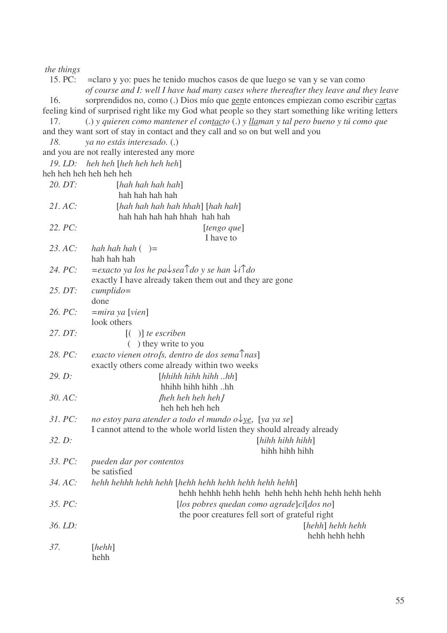#### *the things*

15. PC: =claro y yo: pues he tenido muchos casos de que luego se van y se van como *of course and I: well I have had many cases where thereafter they leave and they leave* 16. sorprendidos no, como (.) Dios mío que gente entonces empiezan como escribir cartas feeling kind of surprised right like my God what people so they start something like writing letters 17. (.) *y quieren como mantener el contacto* (.) *y llaman y tal pero bueno y tú como que* and they want sort of stay in contact and they call and so on but well and you *18. ya no estás interesado.* (.) and you are not really interested any more *19. LD: heh heh* [*heh heh heh heh*] heh heh heh heh heh heh *20. DT:* [*hah hah hah hah*] hah hah hah hah *21. AC:* [*hah hah hah hah hhah*] [*hah hah*] hah hah hah hah hhah hah hah *22. PC:* [*tengo que*] I have to *23. AC: hah hah hah* ( )*=* hah hah hah 24. PC:  $=$ exacto *ya los he pa* $\downarrow$ *sea* $\uparrow$ *do y se han*  $\downarrow$ *i* $\uparrow$ *do* exactly I have already taken them out and they are gone *25. DT: cumplido=* done *26. PC: =mira ya* [*vien*] look others *27. DT:* [( )] *te escriben* ( ) they write to you *28. PC: exacto vienen otro*[*s, dentro de dos sema*↑*nas*] exactly others come already within two weeks *29. D:* [*hhihh hihh hihh ..hh*] hhihh hihh hihh ..hh *30. AC:* [*heh heh heh heh*] heh heh heh heh *31. PC: no estoy para atender a todo el mundo o*↓*ye*, [*ya ya se*] I cannot attend to the whole world listen they should already already *32. D:* [*hihh hihh hihh*] hihh hihh hihh *33. PC: pueden dar por contentos* be satisfied *34. AC: hehh hehhh hehh hehh* [*hehh hehh hehh hehh hehh hehh*] hehh hehhh hehh hehh hehh hehh hehh hehh hehh hehh *35. PC:* [*los pobres quedan como agrade*]*ci*[*dos no*] the poor creatures fell sort of grateful right *36. LD:* [*hehh*] *hehh hehh* hehh hehh hehh *37.* [*hehh*] hehh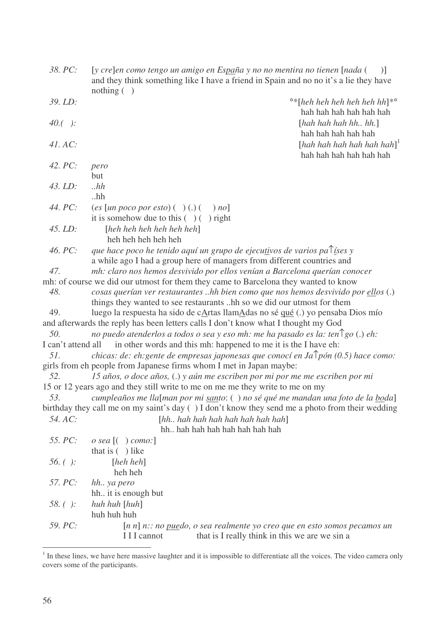| 38. PC:            | [y cre]en como tengo un amigo en España y no no mentira no tienen [nada (<br>$\mathcal{L}$<br>and they think something like I have a friend in Spain and no no it's a lie they have<br>nothing $( )$ |
|--------------------|------------------------------------------------------------------------------------------------------------------------------------------------------------------------------------------------------|
| 39. LD:            | $\cdot$ <sup>o</sup> *[heh heh heh heh hh]* $\cdot$                                                                                                                                                  |
|                    | hah hah hah hah hah                                                                                                                                                                                  |
| $40.()$ :          | [hab hab hah hh. hh.]                                                                                                                                                                                |
|                    | hah hah hah hah                                                                                                                                                                                      |
| 41. AC:            | [hah hah hah hah hah hah] <sup>1</sup>                                                                                                                                                               |
|                    | hah hah hah hah hah                                                                                                                                                                                  |
| 42. $PC:$          | pero                                                                                                                                                                                                 |
|                    | but                                                                                                                                                                                                  |
| $43.$ LD:          | $.$ hh                                                                                                                                                                                               |
|                    | $.$ hh                                                                                                                                                                                               |
| 44. PC:            | (es [un poco por esto) ( ) (.) (<br>$\mid$ no]                                                                                                                                                       |
|                    | it is somehow due to this $( ) ( )$ right                                                                                                                                                            |
| 45. LD:            | [heh heh heh heh heh heh]                                                                                                                                                                            |
|                    | heh heh heh heh                                                                                                                                                                                      |
| 46. PC:            | que hace poco he tenido aquí un grupo de ejecutivos de varios pa $\int$ ises y                                                                                                                       |
|                    | a while ago I had a group here of managers from different countries and                                                                                                                              |
| 47.                | mh: claro nos hemos desvivido por ellos venían a Barcelona querían conocer                                                                                                                           |
|                    | mh: of course we did our utmost for them they came to Barcelona they wanted to know                                                                                                                  |
| 48.                | cosas querían ver restaurantes hh bien como que nos hemos desvivido por ellos (.)                                                                                                                    |
|                    | things they wanted to see restaurants hh so we did our utmost for them                                                                                                                               |
| 49.                | luego la respuesta ha sido de cArtas llamAdas no sé qué (.) yo pensaba Dios mío                                                                                                                      |
|                    | and afterwards the reply has been letters calls I don't know what I thought my God                                                                                                                   |
| 50.                | no puedo atenderlos a todos o sea y eso mh: me ha pasado es la: ten $\log o(.)$ eh:                                                                                                                  |
| I can't attend all | in other words and this mh: happened to me it is the I have eh:                                                                                                                                      |
| 51.                | chicas: de: eh: gente de empresas japonesas que conocí en Ja $\hat{\phi}$ pón (0.5) hace como:                                                                                                       |
| 52.                | girls from eh people from Japanese firms whom I met in Japan maybe:<br>15 años, o doce años, (.) y aún me escriben por mi por me me escriben por mi                                                  |
|                    | 15 or 12 years ago and they still write to me on me me they write to me on my                                                                                                                        |
| 53.                | cumpleaños me lla[man por mi santo: () no sé qué me mandan una foto de la boda]                                                                                                                      |
|                    | birthday they call me on my saint's day () I don't know they send me a photo from their wedding                                                                                                      |
| 54. AC:            | [hh., hah, hah, hah, hah, hah, hah]                                                                                                                                                                  |
|                    | hh hah hah hah hah hah hah                                                                                                                                                                           |
| 55. PC:            | o sea $[$ ( $)$ como: $]$                                                                                                                                                                            |
|                    | that is $( )$ like                                                                                                                                                                                   |
| 56. $( )$ :        | $[heh\,heh]$                                                                                                                                                                                         |
|                    | heh heh                                                                                                                                                                                              |
| 57. PC:            | hh ya pero                                                                                                                                                                                           |
|                    | hh it is enough but                                                                                                                                                                                  |
| 58. $( )$ :        | huh huh [huh]                                                                                                                                                                                        |
|                    | huh huh huh                                                                                                                                                                                          |
| 59. PC:            | $[n n]$ n:: no puedo, o sea realmente yo creo que en esto somos pecamos un                                                                                                                           |
|                    | that is I really think in this we are we sin a<br>I I I cannot                                                                                                                                       |

 $<sup>1</sup>$  In these lines, we have here massive laughter and it is impossible to differentiate all the voices. The video camera only</sup> covers some of the participants.